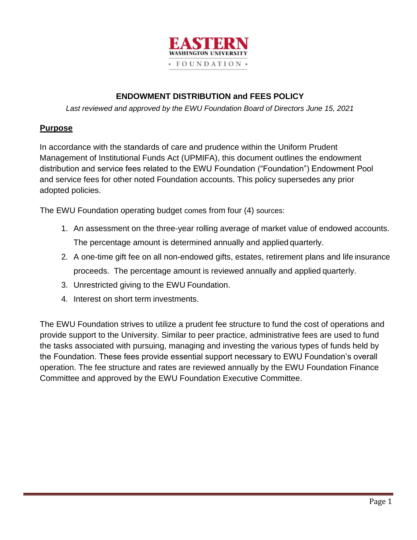

## **ENDOWMENT DISTRIBUTION and FEES POLICY**

*Last reviewed and approved by the EWU Foundation Board of Directors June 15, 2021*

#### **Purpose**

In accordance with the standards of care and prudence within the Uniform Prudent Management of Institutional Funds Act (UPMIFA), this document outlines the endowment distribution and service fees related to the EWU Foundation ("Foundation") Endowment Pool and service fees for other noted Foundation accounts. This policy supersedes any prior adopted policies.

The EWU Foundation operating budget comes from four (4) sources:

- 1. An assessment on the three-year rolling average of market value of endowed accounts. The percentage amount is determined annually and applied quarterly.
- 2. A one-time gift fee on all non-endowed gifts, estates, retirement plans and life insurance proceeds. The percentage amount is reviewed annually and applied quarterly.
- 3. Unrestricted giving to the EWU Foundation.
- 4. Interest on short term investments.

The EWU Foundation strives to utilize a prudent fee structure to fund the cost of operations and provide support to the University. Similar to peer practice, administrative fees are used to fund the tasks associated with pursuing, managing and investing the various types of funds held by the Foundation. These fees provide essential support necessary to EWU Foundation's overall operation. The fee structure and rates are reviewed annually by the EWU Foundation Finance Committee and approved by the EWU Foundation Executive Committee.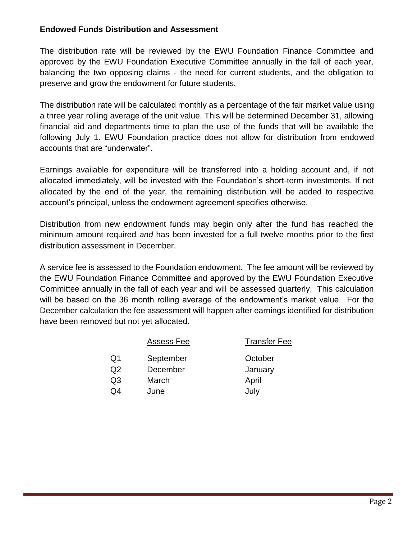### **Endowed Funds Distribution and Assessment**

The distribution rate will be reviewed by the EWU Foundation Finance Committee and approved by the EWU Foundation Executive Committee annually in the fall of each year, balancing the two opposing claims - the need for current students, and the obligation to preserve and grow the endowment for future students.

The distribution rate will be calculated monthly as a percentage of the fair market value using a three year rolling average of the unit value. This will be determined December 31, allowing financial aid and departments time to plan the use of the funds that will be available the following July 1. EWU Foundation practice does not allow for distribution from endowed accounts that are "underwater".

Earnings available for expenditure will be transferred into a holding account and, if not allocated immediately, will be invested with the Foundation's short-term investments. If not allocated by the end of the year, the remaining distribution will be added to respective account's principal, unless the endowment agreement specifies otherwise.

Distribution from new endowment funds may begin only after the fund has reached the minimum amount required *and* has been invested for a full twelve months prior to the first distribution assessment in December.

A service fee is assessed to the Foundation endowment. The fee amount will be reviewed by the EWU Foundation Finance Committee and approved by the EWU Foundation Executive Committee annually in the fall of each year and will be assessed quarterly. This calculation will be based on the 36 month rolling average of the endowment's market value. For the December calculation the fee assessment will happen after earnings identified for distribution have been removed but not yet allocated.

|    | Assess Fee | <b>Transfer Fee</b> |  |  |  |
|----|------------|---------------------|--|--|--|
| Q1 | September  | October             |  |  |  |
| Q2 | December   | January             |  |  |  |
| Q3 | March      | April               |  |  |  |
| Q4 | June       | July                |  |  |  |
|    |            |                     |  |  |  |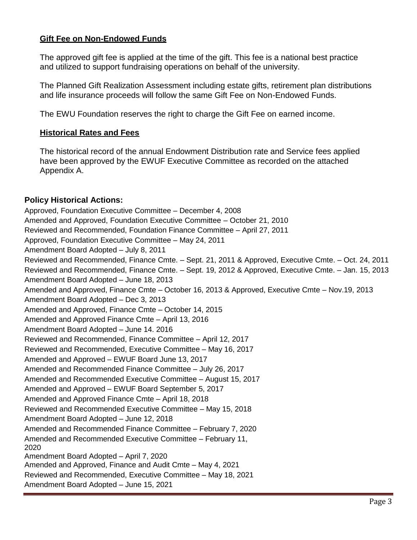### **Gift Fee on Non-Endowed Funds**

The approved gift fee is applied at the time of the gift. This fee is a national best practice and utilized to support fundraising operations on behalf of the university.

The Planned Gift Realization Assessment including estate gifts, retirement plan distributions and life insurance proceeds will follow the same Gift Fee on Non-Endowed Funds.

The EWU Foundation reserves the right to charge the Gift Fee on earned income.

#### **Historical Rates and Fees**

The historical record of the annual Endowment Distribution rate and Service fees applied have been approved by the EWUF Executive Committee as recorded on the attached Appendix A.

#### **Policy Historical Actions:**

Approved, Foundation Executive Committee – December 4, 2008 Amended and Approved, Foundation Executive Committee – October 21, 2010 Reviewed and Recommended, Foundation Finance Committee – April 27, 2011 Approved, Foundation Executive Committee – May 24, 2011 Amendment Board Adopted – July 8, 2011 Reviewed and Recommended, Finance Cmte. – Sept. 21, 2011 & Approved, Executive Cmte. – Oct. 24, 2011 Reviewed and Recommended, Finance Cmte. – Sept. 19, 2012 & Approved, Executive Cmte. – Jan. 15, 2013 Amendment Board Adopted – June 18, 2013 Amended and Approved, Finance Cmte – October 16, 2013 & Approved, Executive Cmte – Nov.19, 2013 Amendment Board Adopted – Dec 3, 2013 Amended and Approved, Finance Cmte – October 14, 2015 Amended and Approved Finance Cmte – April 13, 2016 Amendment Board Adopted – June 14. 2016 Reviewed and Recommended, Finance Committee – April 12, 2017 Reviewed and Recommended, Executive Committee – May 16, 2017 Amended and Approved – EWUF Board June 13, 2017 Amended and Recommended Finance Committee – July 26, 2017 Amended and Recommended Executive Committee – August 15, 2017 Amended and Approved – EWUF Board September 5, 2017 Amended and Approved Finance Cmte – April 18, 2018 Reviewed and Recommended Executive Committee – May 15, 2018 Amendment Board Adopted – June 12, 2018 Amended and Recommended Finance Committee – February 7, 2020 Amended and Recommended Executive Committee – February 11, 2020 Amendment Board Adopted – April 7, 2020 Amended and Approved, Finance and Audit Cmte – May 4, 2021 Reviewed and Recommended, Executive Committee – May 18, 2021 Amendment Board Adopted – June 15, 2021